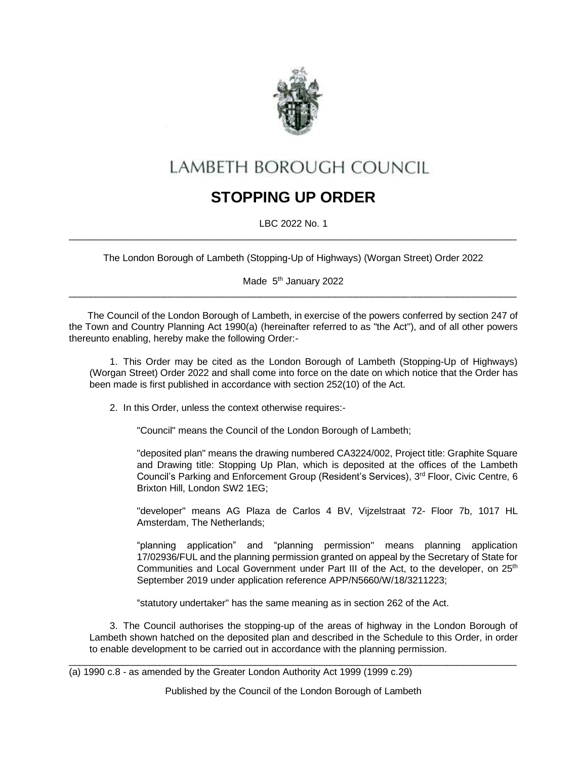

# LAMBETH BOROUGH COUNCIL

## **STOPPING UP ORDER**

LBC 2022 No. 1  $\_$  ,  $\_$  ,  $\_$  ,  $\_$  ,  $\_$  ,  $\_$  ,  $\_$  ,  $\_$  ,  $\_$  ,  $\_$  ,  $\_$  ,  $\_$  ,  $\_$  ,  $\_$  ,  $\_$  ,  $\_$  ,  $\_$  ,  $\_$  ,  $\_$  ,  $\_$  ,  $\_$  ,  $\_$  ,  $\_$  ,  $\_$  ,  $\_$  ,  $\_$  ,  $\_$  ,  $\_$  ,  $\_$  ,  $\_$  ,  $\_$  ,  $\_$  ,  $\_$  ,  $\_$  ,  $\_$  ,  $\_$  ,  $\_$  ,

The London Borough of Lambeth (Stopping-Up of Highways) (Worgan Street) Order 2022

Made 5<sup>th</sup> January 2022  $\_$  ,  $\_$  ,  $\_$  ,  $\_$  ,  $\_$  ,  $\_$  ,  $\_$  ,  $\_$  ,  $\_$  ,  $\_$  ,  $\_$  ,  $\_$  ,  $\_$  ,  $\_$  ,  $\_$  ,  $\_$  ,  $\_$  ,  $\_$  ,  $\_$  ,  $\_$  ,  $\_$  ,  $\_$  ,  $\_$  ,  $\_$  ,  $\_$  ,  $\_$  ,  $\_$  ,  $\_$  ,  $\_$  ,  $\_$  ,  $\_$  ,  $\_$  ,  $\_$  ,  $\_$  ,  $\_$  ,  $\_$  ,  $\_$  ,

 The Council of the London Borough of Lambeth, in exercise of the powers conferred by section 247 of the Town and Country Planning Act 1990(a) (hereinafter referred to as "the Act"), and of all other powers thereunto enabling, hereby make the following Order:-

1. This Order may be cited as the London Borough of Lambeth (Stopping-Up of Highways) (Worgan Street) Order 2022 and shall come into force on the date on which notice that the Order has been made is first published in accordance with section 252(10) of the Act.

2. In this Order, unless the context otherwise requires:-

"Council" means the Council of the London Borough of Lambeth;

"deposited plan" means the drawing numbered CA3224/002, Project title: Graphite Square and Drawing title: Stopping Up Plan, which is deposited at the offices of the Lambeth Council's Parking and Enforcement Group (Resident's Services), 3<sup>rd</sup> Floor, Civic Centre, 6 Brixton Hill, London SW2 1EG;

"developer" means AG Plaza de Carlos 4 BV, Vijzelstraat 72- Floor 7b, 1017 HL Amsterdam, The Netherlands;

"planning application" and "planning permission" means planning application 17/02936/FUL and the planning permission granted on appeal by the Secretary of State for Communities and Local Government under Part III of the Act, to the developer, on 25<sup>th</sup> September 2019 under application reference APP/N5660/W/18/3211223;

"statutory undertaker" has the same meaning as in section 262 of the Act.

3. The Council authorises the stopping-up of the areas of highway in the London Borough of Lambeth shown hatched on the deposited plan and described in the Schedule to this Order, in order to enable development to be carried out in accordance with the planning permission.

Published by the Council of the London Borough of Lambeth

 $\_$  ,  $\_$  ,  $\_$  ,  $\_$  ,  $\_$  ,  $\_$  ,  $\_$  ,  $\_$  ,  $\_$  ,  $\_$  ,  $\_$  ,  $\_$  ,  $\_$  ,  $\_$  ,  $\_$  ,  $\_$  ,  $\_$  ,  $\_$  ,  $\_$  ,  $\_$  ,  $\_$  ,  $\_$  ,  $\_$  ,  $\_$  ,  $\_$  ,  $\_$  ,  $\_$  ,  $\_$  ,  $\_$  ,  $\_$  ,  $\_$  ,  $\_$  ,  $\_$  ,  $\_$  ,  $\_$  ,  $\_$  ,  $\_$  ,

<sup>(</sup>a) 1990 c.8 - as amended by the Greater London Authority Act 1999 (1999 c.29)